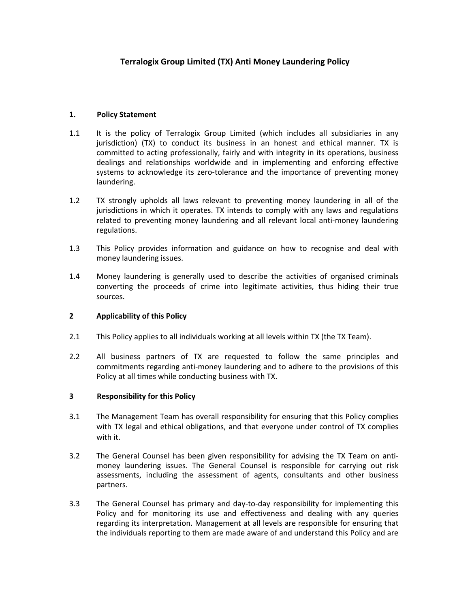# **1. Policy Statement**

- 1.1 It is the policy of Terralogix Group Limited (which includes all subsidiaries in any jurisdiction) (TX) to conduct its business in an honest and ethical manner. TX is committed to acting professionally, fairly and with integrity in its operations, business dealings and relationships worldwide and in implementing and enforcing effective systems to acknowledge its zero-tolerance and the importance of preventing money laundering.
- 1.2 TX strongly upholds all laws relevant to preventing money laundering in all of the jurisdictions in which it operates. TX intends to comply with any laws and regulations related to preventing money laundering and all relevant local anti-money laundering regulations.
- 1.3 This Policy provides information and guidance on how to recognise and deal with money laundering issues.
- 1.4 Money laundering is generally used to describe the activities of organised criminals converting the proceeds of crime into legitimate activities, thus hiding their true sources.

# **2 Applicability of this Policy**

- 2.1 This Policy applies to all individuals working at all levels within TX (the TX Team).
- 2.2 All business partners of TX are requested to follow the same principles and commitments regarding anti-money laundering and to adhere to the provisions of this Policy at all times while conducting business with TX.

# **3 Responsibility for this Policy**

- 3.1 The Management Team has overall responsibility for ensuring that this Policy complies with TX legal and ethical obligations, and that everyone under control of TX complies with it.
- 3.2 The General Counsel has been given responsibility for advising the TX Team on antimoney laundering issues. The General Counsel is responsible for carrying out risk assessments, including the assessment of agents, consultants and other business partners.
- 3.3 The General Counsel has primary and day-to-day responsibility for implementing this Policy and for monitoring its use and effectiveness and dealing with any queries regarding its interpretation. Management at all levels are responsible for ensuring that the individuals reporting to them are made aware of and understand this Policy and are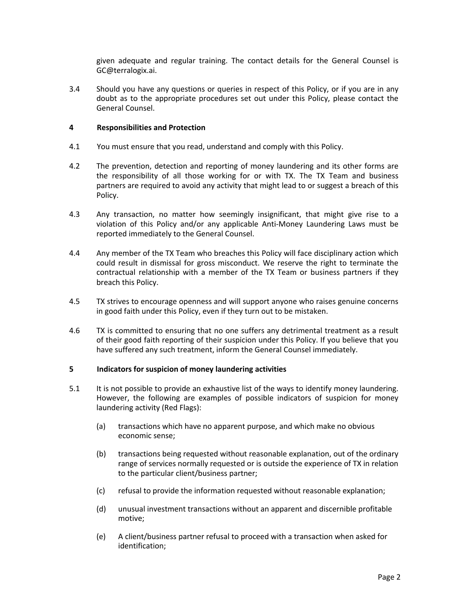given adequate and regular training. The contact details for the General Counsel is GC@terralogix.ai.

3.4 Should you have any questions or queries in respect of this Policy, or if you are in any doubt as to the appropriate procedures set out under this Policy, please contact the General Counsel.

### **4 Responsibilities and Protection**

- 4.1 You must ensure that you read, understand and comply with this Policy.
- 4.2 The prevention, detection and reporting of money laundering and its other forms are the responsibility of all those working for or with TX. The TX Team and business partners are required to avoid any activity that might lead to or suggest a breach of this Policy.
- 4.3 Any transaction, no matter how seemingly insignificant, that might give rise to a violation of this Policy and/or any applicable Anti-Money Laundering Laws must be reported immediately to the General Counsel.
- 4.4 Any member of the TX Team who breaches this Policy will face disciplinary action which could result in dismissal for gross misconduct. We reserve the right to terminate the contractual relationship with a member of the TX Team or business partners if they breach this Policy.
- 4.5 TX strives to encourage openness and will support anyone who raises genuine concerns in good faith under this Policy, even if they turn out to be mistaken.
- 4.6 TX is committed to ensuring that no one suffers any detrimental treatment as a result of their good faith reporting of their suspicion under this Policy. If you believe that you have suffered any such treatment, inform the General Counsel immediately.

#### **5 Indicators for suspicion of money laundering activities**

- 5.1 It is not possible to provide an exhaustive list of the ways to identify money laundering. However, the following are examples of possible indicators of suspicion for money laundering activity (Red Flags):
	- (a) transactions which have no apparent purpose, and which make no obvious economic sense;
	- (b) transactions being requested without reasonable explanation, out of the ordinary range of services normally requested or is outside the experience of TX in relation to the particular client/business partner;
	- (c) refusal to provide the information requested without reasonable explanation;
	- (d) unusual investment transactions without an apparent and discernible profitable motive;
	- (e) A client/business partner refusal to proceed with a transaction when asked for identification;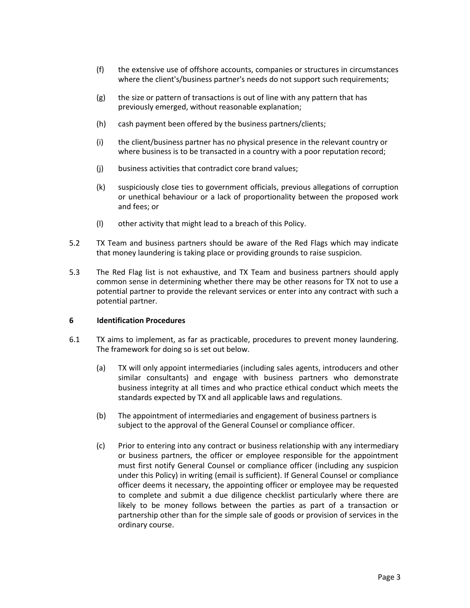- (f) the extensive use of offshore accounts, companies or structures in circumstances where the client's/business partner's needs do not support such requirements;
- (g) the size or pattern of transactions is out of line with any pattern that has previously emerged, without reasonable explanation;
- (h) cash payment been offered by the business partners/clients;
- (i) the client/business partner has no physical presence in the relevant country or where business is to be transacted in a country with a poor reputation record;
- (j) business activities that contradict core brand values;
- (k) suspiciously close ties to government officials, previous allegations of corruption or unethical behaviour or a lack of proportionality between the proposed work and fees; or
- (l) other activity that might lead to a breach of this Policy.
- 5.2 TX Team and business partners should be aware of the Red Flags which may indicate that money laundering is taking place or providing grounds to raise suspicion.
- 5.3 The Red Flag list is not exhaustive, and TX Team and business partners should apply common sense in determining whether there may be other reasons for TX not to use a potential partner to provide the relevant services or enter into any contract with such a potential partner.

#### **6 Identification Procedures**

- 6.1 TX aims to implement, as far as practicable, procedures to prevent money laundering. The framework for doing so is set out below.
	- (a) TX will only appoint intermediaries (including sales agents, introducers and other similar consultants) and engage with business partners who demonstrate business integrity at all times and who practice ethical conduct which meets the standards expected by TX and all applicable laws and regulations.
	- (b) The appointment of intermediaries and engagement of business partners is subject to the approval of the General Counsel or compliance officer.
	- (c) Prior to entering into any contract or business relationship with any intermediary or business partners, the officer or employee responsible for the appointment must first notify General Counsel or compliance officer (including any suspicion under this Policy) in writing (email is sufficient). If General Counsel or compliance officer deems it necessary, the appointing officer or employee may be requested to complete and submit a due diligence checklist particularly where there are likely to be money follows between the parties as part of a transaction or partnership other than for the simple sale of goods or provision of services in the ordinary course.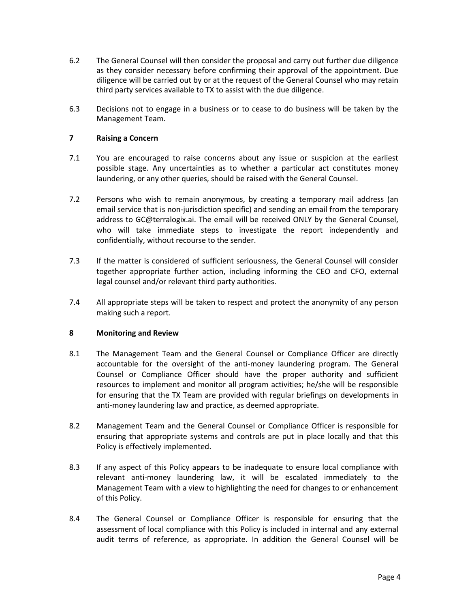- 6.2 The General Counsel will then consider the proposal and carry out further due diligence as they consider necessary before confirming their approval of the appointment. Due diligence will be carried out by or at the request of the General Counsel who may retain third party services available to TX to assist with the due diligence.
- 6.3 Decisions not to engage in a business or to cease to do business will be taken by the Management Team.

### **7 Raising a Concern**

- 7.1 You are encouraged to raise concerns about any issue or suspicion at the earliest possible stage. Any uncertainties as to whether a particular act constitutes money laundering, or any other queries, should be raised with the General Counsel.
- 7.2 Persons who wish to remain anonymous, by creating a temporary mail address (an email service that is non-jurisdiction specific) and sending an email from the temporary address to GC@terralogix.ai. The email will be received ONLY by the General Counsel, who will take immediate steps to investigate the report independently and confidentially, without recourse to the sender.
- 7.3 If the matter is considered of sufficient seriousness, the General Counsel will consider together appropriate further action, including informing the CEO and CFO, external legal counsel and/or relevant third party authorities.
- 7.4 All appropriate steps will be taken to respect and protect the anonymity of any person making such a report.

# **8 Monitoring and Review**

- 8.1 The Management Team and the General Counsel or Compliance Officer are directly accountable for the oversight of the anti-money laundering program. The General Counsel or Compliance Officer should have the proper authority and sufficient resources to implement and monitor all program activities; he/she will be responsible for ensuring that the TX Team are provided with regular briefings on developments in anti-money laundering law and practice, as deemed appropriate.
- 8.2 Management Team and the General Counsel or Compliance Officer is responsible for ensuring that appropriate systems and controls are put in place locally and that this Policy is effectively implemented.
- 8.3 If any aspect of this Policy appears to be inadequate to ensure local compliance with relevant anti-money laundering law, it will be escalated immediately to the Management Team with a view to highlighting the need for changes to or enhancement of this Policy.
- 8.4 The General Counsel or Compliance Officer is responsible for ensuring that the assessment of local compliance with this Policy is included in internal and any external audit terms of reference, as appropriate. In addition the General Counsel will be